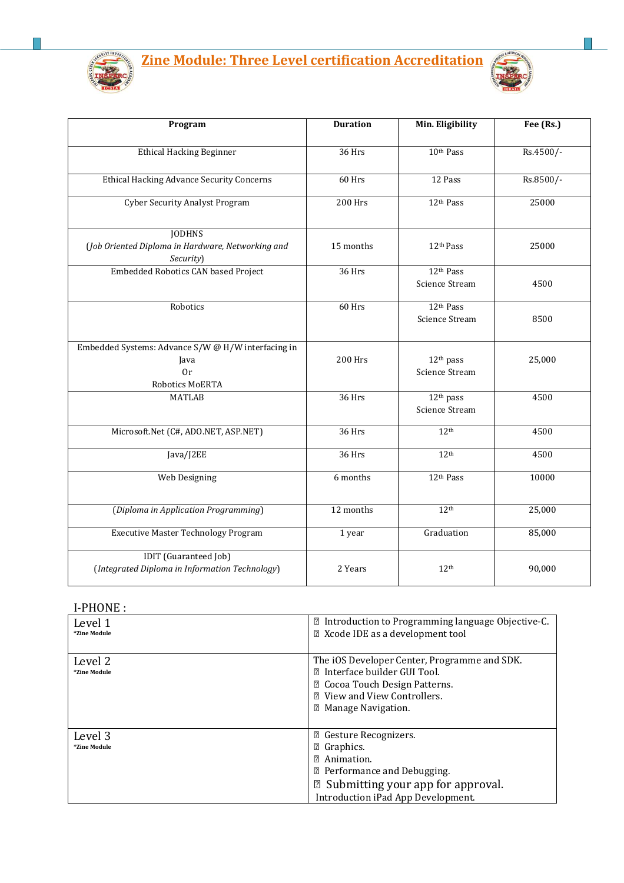



| Program                                                                             | <b>Duration</b> | Min. Eligibility                               | Fee (Rs.) |
|-------------------------------------------------------------------------------------|-----------------|------------------------------------------------|-----------|
| <b>Ethical Hacking Beginner</b>                                                     | 36 Hrs          | 10th Pass                                      | Rs.4500/- |
| <b>Ethical Hacking Advance Security Concerns</b>                                    | 60 Hrs          | 12 Pass                                        | Rs.8500/- |
| <b>Cyber Security Analyst Program</b>                                               | <b>200 Hrs</b>  | 12th Pass                                      | 25000     |
| <b>JODHNS</b><br>(Job Oriented Diploma in Hardware, Networking and<br>Security)     | 15 months       | 12 <sup>th</sup> Pass                          | 25000     |
| Embedded Robotics CAN based Project                                                 | 36 Hrs          | 12th Pass<br>Science Stream                    | 4500      |
| Robotics                                                                            | 60 Hrs          | 12 <sup>th</sup> Pass<br><b>Science Stream</b> | 8500      |
| Embedded Systems: Advance S/W @ H/W interfacing in<br>Java<br>0r<br>Robotics MoERTA | <b>200 Hrs</b>  | 12 <sup>th</sup> pass<br>Science Stream        | 25,000    |
| <b>MATLAB</b>                                                                       | 36 Hrs          | 12 <sup>th</sup> pass<br><b>Science Stream</b> | 4500      |
| Microsoft.Net (C#, ADO.NET, ASP.NET)                                                | 36 Hrs          | 12 <sup>th</sup>                               | 4500      |
| Java/J2EE                                                                           | 36 Hrs          | 12 <sup>th</sup>                               | 4500      |
| Web Designing                                                                       | 6 months        | 12th Pass                                      | 10000     |
| (Diploma in Application Programming)                                                | 12 months       | 12 <sup>th</sup>                               | 25,000    |
| <b>Executive Master Technology Program</b>                                          | 1 year          | Graduation                                     | 85,000    |
| <b>IDIT</b> (Guaranteed Job)<br>(Integrated Diploma in Information Technology)      | 2 Years         | 12 <sup>th</sup>                               | 90,000    |

# I-PHONE :

| Level 1<br>*Zine Module | 2 Introduction to Programming language Objective-C.<br><b>■ Xcode IDE as a development tool</b>                                                                                                       |
|-------------------------|-------------------------------------------------------------------------------------------------------------------------------------------------------------------------------------------------------|
| Level 2<br>*Zine Module | The iOS Developer Center, Programme and SDK.<br><b>②</b> Interface builder GUI Tool.<br><b>■ Cocoa Touch Design Patterns.</b><br><b>7</b> View and View Controllers.<br><b>sqrtmanage Navigation.</b> |
| Level 3<br>*Zine Module | <sup>2</sup> Gesture Recognizers.<br><b>2</b> Graphics.<br>Animation.<br>7<br><b>2</b> Performance and Debugging.<br>2 Submitting your app for approval.<br>Introduction iPad App Development.        |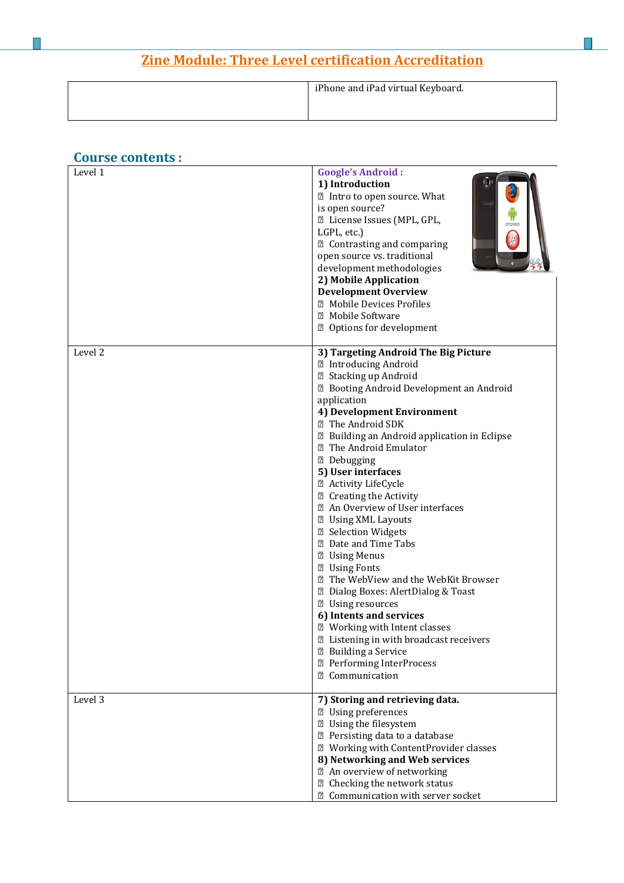| iPhone and iPad virtual Keyboard. |
|-----------------------------------|
|                                   |
|                                   |
|                                   |

#### **Course contents :**  Google's Android : **1) Introduction** Intro to open source. What is open source? License Issues (MPL, GPL, LGPL, etc.) Contrasting and comparing open source vs. traditional development methodologies **2) Mobile Application Development Overview Z** Mobile Devices Profiles Mobile Software Options for development Level 2 **3) Targeting Android The Big Picture** Introducing Android Stacking up Android Booting Android Development an Android application **4) Development Environment** The Android SDK Building an Android application in Eclipse The Android Emulator Debugging **5) User interfaces**  Activity LifeCycle Creating the Activity An Overview of User interfaces Using XML Layouts Selection Widgets Date and Time Tabs Using Menus **Z** Using Fonts The WebView and the WebKit Browser Dialog Boxes: AlertDialog & Toast Using resources **6) Intents and services** Working with Intent classes Listening in with broadcast receivers Building a Service Performing InterProcess Communication Level 3 **7) Storing and retrieving data.** Using preferences Using the filesystem Persisting data to a database Working with ContentProvider classes **8) Networking and Web services** An overview of networking Checking the network status Communication with server socket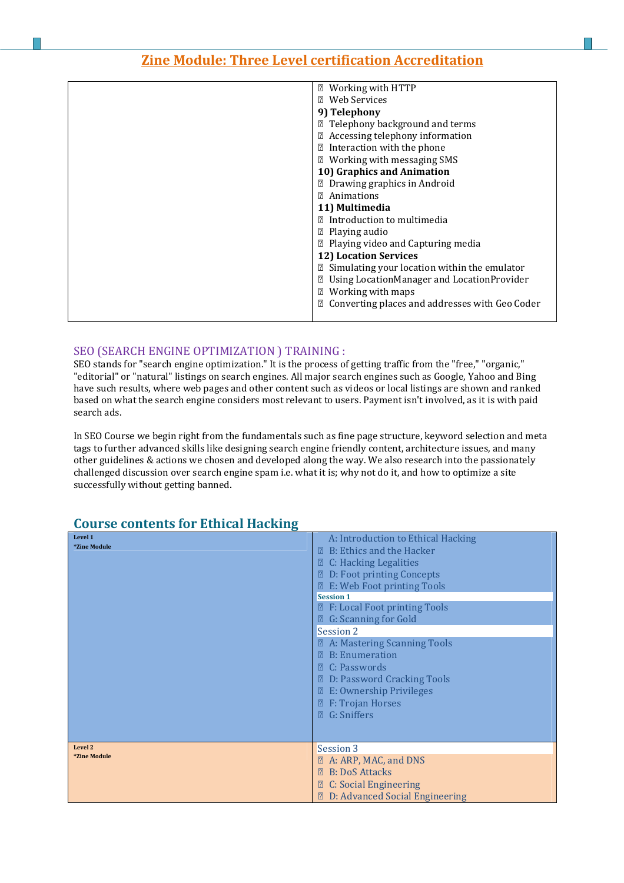| <b>② Working with HTTP</b>                                  |
|-------------------------------------------------------------|
| <b>2</b> Web Services                                       |
| 9) Telephony                                                |
| <sup>2</sup> Telephony background and terms                 |
| 2 Accessing telephony information                           |
| <b>■</b> Interaction with the phone                         |
| 7 Working with messaging SMS                                |
| 10) Graphics and Animation                                  |
| <b>2</b> Drawing graphics in Android                        |
| <b>2</b> Animations                                         |
| 11) Multimedia                                              |
| <b>2</b> Introduction to multimedia                         |
| $\mathbb{Z}$ Playing audio                                  |
| <b>■ Playing video and Capturing media</b>                  |
| <b>12) Location Services</b>                                |
| <b>sqrt82 Simulating your location within the emulator</b>  |
| Using LocationManager and LocationProvider                  |
| Working with maps<br>$\boxed{2}$                            |
| <b>sqrt2 Converting places and addresses with Geo Coder</b> |
|                                                             |

#### SEO (SEARCH ENGINE OPTIMIZATION ) TRAINING :

SEO stands for "search engine optimization." It is the process of getting traffic from the "free," "organic," "editorial" or "natural" listings on search engines. All major search engines such as Google, Yahoo and Bing have such results, where web pages and other content such as videos or local listings are shown and ranked based on what the search engine considers most relevant to users. Payment isn't involved, as it is with paid search ads.

In SEO Course we begin right from the fundamentals such as fine page structure, keyword selection and meta tags to further advanced skills like designing search engine friendly content, architecture issues, and many other guidelines & actions we chosen and developed along the way. We also research into the passionately challenged discussion over search engine spam i.e. what it is; why not do it, and how to optimize a site successfully without getting banned.

| Level 1<br><i>*Zine Module</i> | A: Introduction to Ethical Hacking<br><b>② B: Ethics and the Hacker</b><br>$\mathbb{Z}$ C: Hacking Legalities<br><b>2</b> D: Foot printing Concepts<br><b>Z</b> E: Web Foot printing Tools<br><b>Session 1</b><br><b>Z</b> F: Local Foot printing Tools<br><b>②</b> G: Scanning for Gold<br>Session 2<br><b>Z.</b> A: Mastering Scanning Tools<br>$\mathbb{R}$ B: Enumeration<br>$\mathbb{R}$ C: Passwords<br><b>2</b> D: Password Cracking Tools<br><b>Z</b> E: Ownership Privileges<br>$\mathbb{Z}$ F: Trojan Horses<br><b>2</b> G: Sniffers |
|--------------------------------|------------------------------------------------------------------------------------------------------------------------------------------------------------------------------------------------------------------------------------------------------------------------------------------------------------------------------------------------------------------------------------------------------------------------------------------------------------------------------------------------------------------------------------------------|
| Level 2<br><i>*Zine Module</i> | Session 3<br><b>Z</b> A: ARP, MAC, and DNS<br><b>E</b> B: DoS Attacks<br><b>② C: Social Engineering</b><br><b>D:</b> Advanced Social Engineering                                                                                                                                                                                                                                                                                                                                                                                               |

### **Course contents for Ethical Hacking**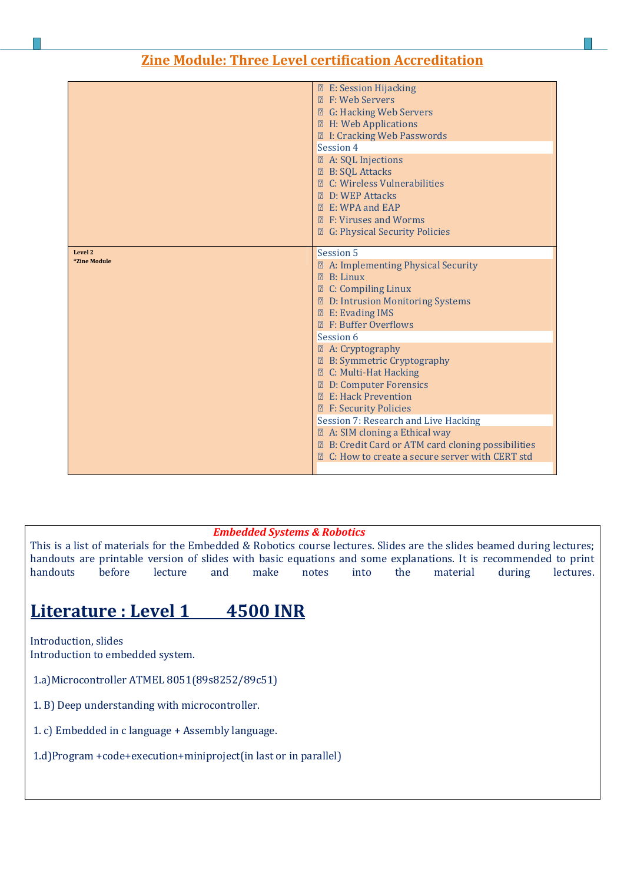|              | <b>Z</b> E: Session Hijacking                                                                                               |
|--------------|-----------------------------------------------------------------------------------------------------------------------------|
|              | <b>2 F: Web Servers</b>                                                                                                     |
|              | <b>2</b> G: Hacking Web Servers                                                                                             |
|              | <b>Z</b> H: Web Applications                                                                                                |
|              | <b>2 I: Cracking Web Passwords</b>                                                                                          |
|              | Session 4                                                                                                                   |
|              | <b>Z</b> A: SQL Injections                                                                                                  |
|              | <b>2 B: SQL Attacks</b>                                                                                                     |
|              | <b>Z</b> C: Wireless Vulnerabilities                                                                                        |
|              | <b>P. D. WEP Attacks</b>                                                                                                    |
|              | <b>② E: WPA and EAP</b>                                                                                                     |
|              | <b>2</b> F: Viruses and Worms                                                                                               |
|              | <b>Z</b> G: Physical Security Policies                                                                                      |
|              |                                                                                                                             |
| Level 2      | Session 5                                                                                                                   |
| *Zine Module | 2 A: Implementing Physical Security                                                                                         |
|              | $\mathbb{R}$ B: Linux                                                                                                       |
|              | <b>Z</b> C: Compiling Linux                                                                                                 |
|              |                                                                                                                             |
|              |                                                                                                                             |
|              | <b>Z</b> D: Intrusion Monitoring Systems                                                                                    |
|              | <b>Z</b> E: Evading IMS<br><b>图 F: Buffer Overflows</b>                                                                     |
|              | Session 6                                                                                                                   |
|              |                                                                                                                             |
|              | <b>2</b> A: Cryptography                                                                                                    |
|              | <b>Z</b> B: Symmetric Cryptography                                                                                          |
|              | <b>2 C: Multi-Hat Hacking</b>                                                                                               |
|              | <b>2</b> D: Computer Forensics<br><b>2 E: Hack Prevention</b>                                                               |
|              |                                                                                                                             |
|              | <b>Z</b> F: Security Policies<br>Session 7: Research and Live Hacking                                                       |
|              |                                                                                                                             |
|              | 2 A: SIM cloning a Ethical way                                                                                              |
|              | <b>sqrt</b> B: Credit Card or ATM card cloning possibilities<br><b>sqrt2</b> C: How to create a secure server with CERT std |

#### *Embedded Systems & Robotics*

This is a list of materials for the Embedded & Robotics course lectures. Slides are the slides beamed during lectures; handouts are printable version of slides with basic equations and some explanations. It is recommended to print<br>handouts before lecture and make notes into the material during lectures. handouts before lecture and make notes into the material during lectures.

# **Literature : Level 1 4500 INR**

Introduction, slides Introduction to embedded system.

- 1.a)Microcontroller ATMEL 8051(89s8252/89c51)
- 1. B) Deep understanding with microcontroller.
- 1. c) Embedded in c language + Assembly language.
- 1.d)Program +code+execution+miniproject(in last or in parallel)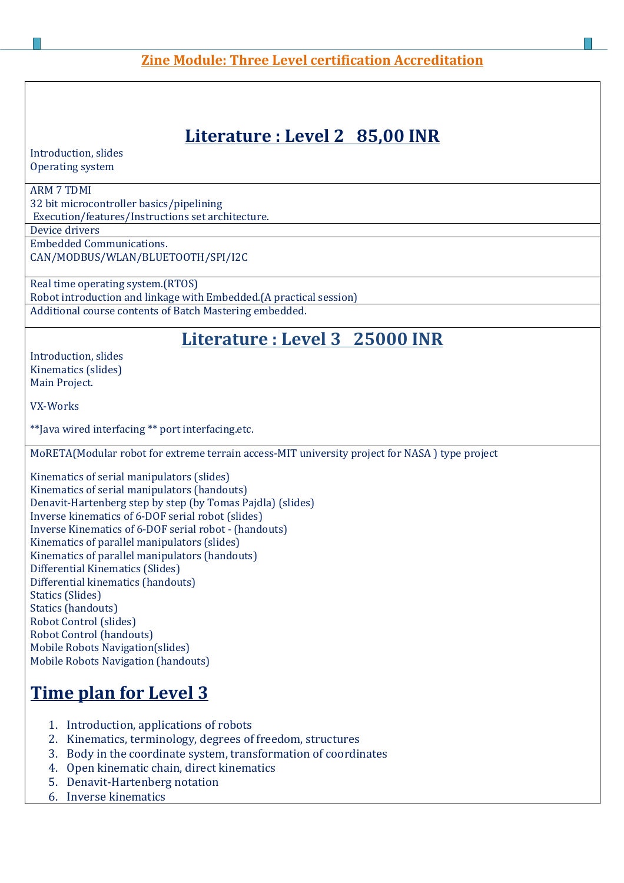# **Literature : Level 2 85,00 INR**

Introduction, slides Operating system

ı

#### ARM 7 TDMI

32 bit microcontroller basics/pipelining Execution/features/Instructions set architecture.

Device drivers

Embedded Communications. CAN/MODBUS/WLAN/BLUETOOTH/SPI/I2C

Real time operating system.(RTOS) Robot introduction and linkage with Embedded.(A practical session) Additional course contents of Batch Mastering embedded.

## **Literature : Level 3 25000 INR**

Introduction, slides Kinematics (slides) Main Project.

VX-Works

\*\*Java wired interfacing \*\* port interfacing.etc.

MoRETA(Modular robot for extreme terrain access-MIT university project for NASA ) type project

Kinematics of serial manipulators (slides) Kinematics of serial manipulators (handouts) Denavit-Hartenberg step by step (by Tomas Pajdla) (slides) Inverse kinematics of 6-DOF serial robot (slides) Inverse Kinematics of 6-DOF serial robot - (handouts) Kinematics of parallel manipulators (slides) Kinematics of parallel manipulators (handouts) Differential Kinematics (Slides) Differential kinematics (handouts) Statics (Slides) Statics (handouts) Robot Control (slides) Robot Control (handouts) Mobile Robots Navigation(slides) Mobile Robots Navigation (handouts)

# **Time plan for Level 3**

- 1. Introduction, applications of robots
- 2. Kinematics, terminology, degrees of freedom, structures
- 3. Body in the coordinate system, transformation of coordinates
- 4. Open kinematic chain, direct kinematics
- 5. Denavit-Hartenberg notation
- 6. Inverse kinematics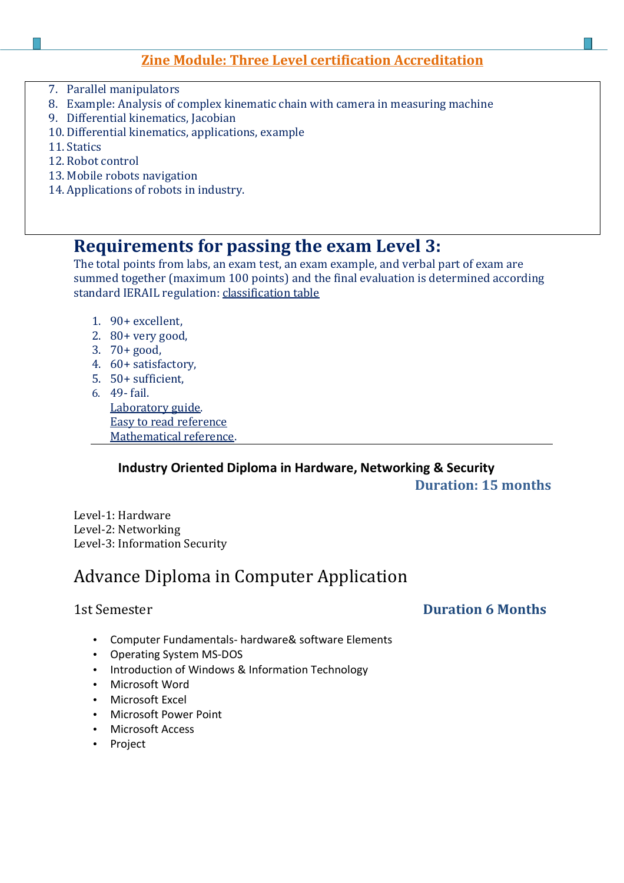- 7. Parallel manipulators
- 8. Example: Analysis of complex kinematic chain with camera in measuring machine
- 9. Differential kinematics, Jacobian
- 10. Differential kinematics, applications, example
- 11. Statics

ı

- 12. Robot control
- 13. Mobile robots navigation
- 14. Applications of robots in industry.

## **Requirements for passing the exam Level 3:**

The total points from labs, an exam test, an exam example, and verbal part of exam are summed together (maximum 100 points) and the final evaluation is determined according standard IERAIL regulation: classification table

- 1. 90+ excellent,
- 2. 80+ very good,
- 3. 70+ good,
- 4. 60+ satisfactory,
- 5. 50+ sufficient,
- 6. 49- fail. Laboratory guide. Easy to read reference Mathematical reference.

### **Industry Oriented Diploma in Hardware, Networking & Security Duration: 15 months**

Level-1: Hardware Level-2: Networking Level-3: Information Security

# Advance Diploma in Computer Application

### 1st Semester **Duration 6 Months**

- Computer Fundamentals- hardware& software Elements
- Operating System MS-DOS
- Introduction of Windows & Information Technology
- Microsoft Word
- Microsoft Excel
- Microsoft Power Point
- Microsoft Access
- Project